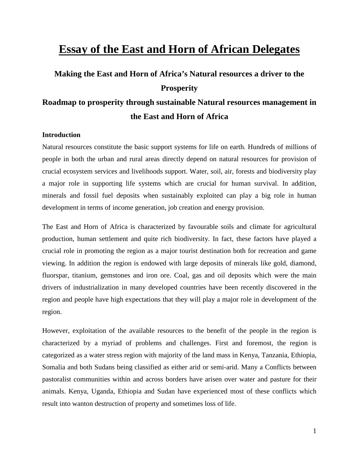## **Essay of the East and Horn of African Delegates**

# **Making the East and Horn of Africa's Natural resources a driver to the Prosperity Roadmap to prosperity through sustainable Natural resources management in the East and Horn of Africa**

## **Introduction**

Natural resources constitute the basic support systems for life on earth. Hundreds of millions of people in both the urban and rural areas directly depend on natural resources for provision of crucial ecosystem services and livelihoods support. Water, soil, air, forests and biodiversity play a major role in supporting life systems which are crucial for human survival. In addition, minerals and fossil fuel deposits when sustainably exploited can play a big role in human development in terms of income generation, job creation and energy provision.

The East and Horn of Africa is characterized by favourable soils and climate for agricultural production, human settlement and quite rich biodiversity. In fact, these factors have played a crucial role in promoting the region as a major tourist destination both for recreation and game viewing. In addition the region is endowed with large deposits of minerals like gold, diamond, fluorspar, titanium, gemstones and iron ore. Coal, gas and oil deposits which were the main drivers of industrialization in many developed countries have been recently discovered in the region and people have high expectations that they will play a major role in development of the region.

However, exploitation of the available resources to the benefit of the people in the region is characterized by a myriad of problems and challenges. First and foremost, the region is categorized as a water stress region with majority of the land mass in Kenya, Tanzania, Ethiopia, Somalia and both Sudans being classified as either arid or semi-arid. Many a Conflicts between pastoralist communities within and across borders have arisen over water and pasture for their animals. Kenya, Uganda, Ethiopia and Sudan have experienced most of these conflicts which result into wanton destruction of property and sometimes loss of life.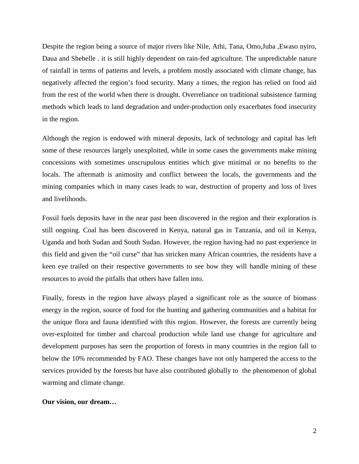Despite the region being a source of major rivers like Nile, Athi, Tana, Omo,Juba ,Ewaso nyiro, Daua and Shebelle . it is still highly dependent on rain-fed agriculture. The unpredictable nature of rainfall in terms of patterns and levels, a problem mostly associated with climate change, has negatively affected the region's food security. Many a times, the region has relied on food aid from the rest of the world when there is drought. Overreliance on traditional subsistence farming methods which leads to land degradation and under-production only exacerbates food insecurity in the region.

Although the region is endowed with mineral deposits, lack of technology and capital has left some of these resources largely unexploited, while in some cases the governments make mining concessions with sometimes unscrupulous entities which give minimal or no benefits to the locals. The aftermath is animosity and conflict between the locals, the governments and the mining companies which in many cases leads to war, destruction of property and loss of lives and livelihoods.

Fossil fuels deposits have in the near past been discovered in the region and their exploration is still ongoing. Coal has been discovered in Kenya, natural gas in Tanzania, and oil in Kenya, Uganda and both Sudan and South Sudan. However, the region having had no past experience in this field and given the "oil curse" that has stricken many African countries, the residents have a keen eye trailed on their respective governments to see how they will handle mining of these resources to avoid the pitfalls that others have fallen into.

Finally, forests in the region have always played a significant role as the source of biomass energy in the region, source of food for the hunting and gathering communities and a habitat for the unique flora and fauna identified with this region. However, the forests are currently being over-exploited for timber and charcoal production while land use change for agriculture and development purposes has seen the proportion of forests in many countries in the region fall to below the 10% recommended by FAO. These changes have not only hampered the access to the services provided by the forests but have also contributed globally to the phenomenon of global warming and climate change.

#### **Our vision, our dream…**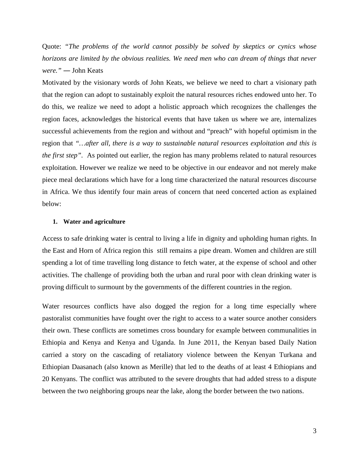Quote: *"The problems of the world cannot possibly be solved by skeptics or cynics whose horizons are limited by the obvious realities. We need men who can dream of things that never were."* ― John Keats

Motivated by the visionary words of John Keats, we believe we need to chart a visionary path that the region can adopt to sustainably exploit the natural resources riches endowed unto her. To do this, we realize we need to adopt a holistic approach which recognizes the challenges the region faces, acknowledges the historical events that have taken us where we are, internalizes successful achievements from the region and without and "preach" with hopeful optimism in the region that *"…after all, there is a way to sustainable natural resources exploitation and this is the first step"*. As pointed out earlier, the region has many problems related to natural resources exploitation. However we realize we need to be objective in our endeavor and not merely make piece meal declarations which have for a long time characterized the natural resources discourse in Africa. We thus identify four main areas of concern that need concerted action as explained below:

#### **1. Water and agriculture**

Access to safe drinking water is central to living a life in dignity and upholding human rights. In the East and Horn of Africa region this still remains a pipe dream. Women and children are still spending a lot of time travelling long distance to fetch water, at the expense of school and other activities. The challenge of providing both the urban and rural poor with clean drinking water is proving difficult to surmount by the governments of the different countries in the region.

Water resources conflicts have also dogged the region for a long time especially where pastoralist communities have fought over the right to access to a water source another considers their own. These conflicts are sometimes cross boundary for example between communalities in Ethiopia and Kenya and Kenya and Uganda. In June 2011, the Kenyan based Daily Nation carried a story on the cascading of retaliatory violence between the Kenyan Turkana and Ethiopian Daasanach (also known as Merille) that led to the deaths of at least 4 Ethiopians and 20 Kenyans. The conflict was attributed to the severe droughts that had added stress to a dispute between the two neighboring groups near the lake, along the border between the two nations.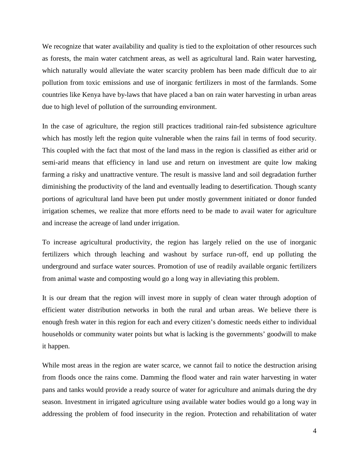We recognize that water availability and quality is tied to the exploitation of other resources such as forests, the main water catchment areas, as well as agricultural land. Rain water harvesting, which naturally would alleviate the water scarcity problem has been made difficult due to air pollution from toxic emissions and use of inorganic fertilizers in most of the farmlands. Some countries like Kenya have by-laws that have placed a ban on rain water harvesting in urban areas due to high level of pollution of the surrounding environment.

In the case of agriculture, the region still practices traditional rain-fed subsistence agriculture which has mostly left the region quite vulnerable when the rains fail in terms of food security. This coupled with the fact that most of the land mass in the region is classified as either arid or semi-arid means that efficiency in land use and return on investment are quite low making farming a risky and unattractive venture. The result is massive land and soil degradation further diminishing the productivity of the land and eventually leading to desertification. Though scanty portions of agricultural land have been put under mostly government initiated or donor funded irrigation schemes, we realize that more efforts need to be made to avail water for agriculture and increase the acreage of land under irrigation.

To increase agricultural productivity, the region has largely relied on the use of inorganic fertilizers which through leaching and washout by surface run-off, end up polluting the underground and surface water sources. Promotion of use of readily available organic fertilizers from animal waste and composting would go a long way in alleviating this problem.

It is our dream that the region will invest more in supply of clean water through adoption of efficient water distribution networks in both the rural and urban areas. We believe there is enough fresh water in this region for each and every citizen's domestic needs either to individual households or community water points but what is lacking is the governments' goodwill to make it happen.

While most areas in the region are water scarce, we cannot fail to notice the destruction arising from floods once the rains come. Damming the flood water and rain water harvesting in water pans and tanks would provide a ready source of water for agriculture and animals during the dry season. Investment in irrigated agriculture using available water bodies would go a long way in addressing the problem of food insecurity in the region. Protection and rehabilitation of water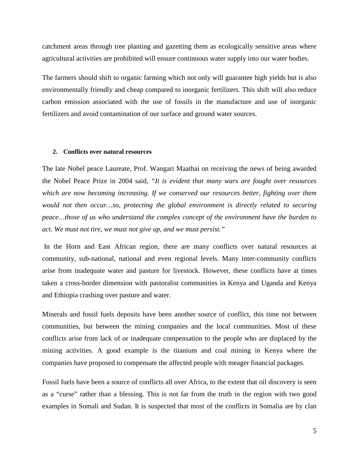catchment areas through tree planting and gazetting them as ecologically sensitive areas where agricultural activities are prohibited will ensure continuous water supply into our water bodies.

The farmers should shift to organic farming which not only will guarantee high yields but is also environmentally friendly and cheap compared to inorganic fertilizers. This shift will also reduce carbon emission associated with the use of fossils in the manufacture and use of inorganic fertilizers and avoid contamination of our surface and ground water sources.

### **2. Conflicts over natural resources**

The late Nobel peace Laureate, Prof. Wangari Maathai on receiving the news of being awarded the Nobel Peace Prize in 2004 said, *"It is evident that many wars are fought over resources which are now becoming increasing. If we conserved our resources better, fighting over them would not then occur…so, protecting the global environment is directly related to securing peace…those of us who understand the complex concept of the environment have the burden to act. We must not tire, we must not give up, and we must persist."*

 In the Horn and East African region, there are many conflicts over natural resources at community, sub-national, national and even regional levels. Many inter-community conflicts arise from inadequate water and pasture for livestock. However, these conflicts have at times taken a cross-border dimension with pastoralist communities in Kenya and Uganda and Kenya and Ethiopia crashing over pasture and water.

Minerals and fossil fuels deposits have been another source of conflict, this time not between communities, but between the mining companies and the local communities. Most of these conflicts arise from lack of or inadequate compensation to the people who are displaced by the mining activities. A good example is the titanium and coal mining in Kenya where the companies have proposed to compensate the affected people with meager financial packages.

Fossil fuels have been a source of conflicts all over Africa, to the extent that oil discovery is seen as a "curse" rather than a blessing. This is not far from the truth in the region with two good examples in Somali and Sudan. It is suspected that most of the conflicts in Somalia are by clan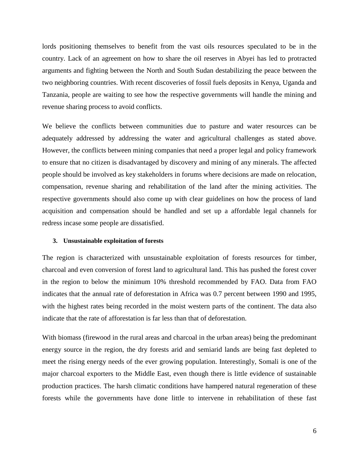lords positioning themselves to benefit from the vast oils resources speculated to be in the country. Lack of an agreement on how to share the oil reserves in Abyei has led to protracted arguments and fighting between the North and South Sudan destabilizing the peace between the two neighboring countries. With recent discoveries of fossil fuels deposits in Kenya, Uganda and Tanzania, people are waiting to see how the respective governments will handle the mining and revenue sharing process to avoid conflicts.

We believe the conflicts between communities due to pasture and water resources can be adequately addressed by addressing the water and agricultural challenges as stated above. However, the conflicts between mining companies that need a proper legal and policy framework to ensure that no citizen is disadvantaged by discovery and mining of any minerals. The affected people should be involved as key stakeholders in forums where decisions are made on relocation, compensation, revenue sharing and rehabilitation of the land after the mining activities. The respective governments should also come up with clear guidelines on how the process of land acquisition and compensation should be handled and set up a affordable legal channels for redress incase some people are dissatisfied.

#### **3. Unsustainable exploitation of forests**

The region is characterized with unsustainable exploitation of forests resources for timber, charcoal and even conversion of forest land to agricultural land. This has pushed the forest cover in the region to below the minimum 10% threshold recommended by FAO. Data from FAO indicates that the annual rate of deforestation in Africa was 0.7 percent between 1990 and 1995, with the highest rates being recorded in the moist western parts of the continent. The data also indicate that the rate of afforestation is far less than that of deforestation.

With biomass (firewood in the rural areas and charcoal in the urban areas) being the predominant energy source in the region, the dry forests arid and semiarid lands are being fast depleted to meet the rising energy needs of the ever growing population. Interestingly, Somali is one of the major charcoal exporters to the Middle East, even though there is little evidence of sustainable production practices. The harsh climatic conditions have hampered natural regeneration of these forests while the governments have done little to intervene in rehabilitation of these fast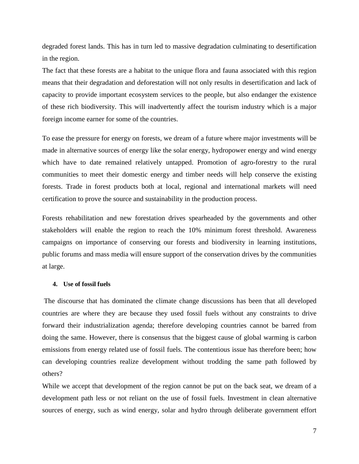degraded forest lands. This has in turn led to massive degradation culminating to desertification in the region.

The fact that these forests are a habitat to the unique flora and fauna associated with this region means that their degradation and deforestation will not only results in desertification and lack of capacity to provide important ecosystem services to the people, but also endanger the existence of these rich biodiversity. This will inadvertently affect the tourism industry which is a major foreign income earner for some of the countries.

To ease the pressure for energy on forests, we dream of a future where major investments will be made in alternative sources of energy like the solar energy, hydropower energy and wind energy which have to date remained relatively untapped. Promotion of agro-forestry to the rural communities to meet their domestic energy and timber needs will help conserve the existing forests. Trade in forest products both at local, regional and international markets will need certification to prove the source and sustainability in the production process.

Forests rehabilitation and new forestation drives spearheaded by the governments and other stakeholders will enable the region to reach the 10% minimum forest threshold. Awareness campaigns on importance of conserving our forests and biodiversity in learning institutions, public forums and mass media will ensure support of the conservation drives by the communities at large.

## **4. Use of fossil fuels**

 The discourse that has dominated the climate change discussions has been that all developed countries are where they are because they used fossil fuels without any constraints to drive forward their industrialization agenda; therefore developing countries cannot be barred from doing the same. However, there is consensus that the biggest cause of global warming is carbon emissions from energy related use of fossil fuels. The contentious issue has therefore been; how can developing countries realize development without trodding the same path followed by others?

While we accept that development of the region cannot be put on the back seat, we dream of a development path less or not reliant on the use of fossil fuels. Investment in clean alternative sources of energy, such as wind energy, solar and hydro through deliberate government effort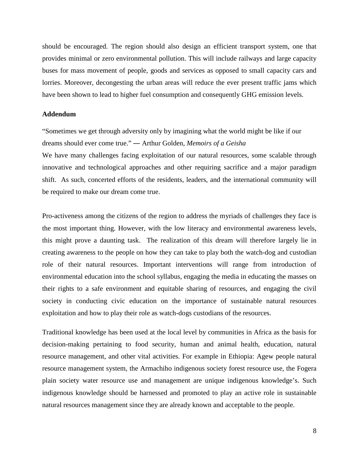should be encouraged. The region should also design an efficient transport system, one that provides minimal or zero environmental pollution. This will include railways and large capacity buses for mass movement of people, goods and services as opposed to small capacity cars and lorries. Moreover, decongesting the urban areas will reduce the ever present traffic jams which have been shown to lead to higher fuel consumption and consequently GHG emission levels.

## **Addendum**

"Sometimes we get through adversity only by imagining what the world might be like if our dreams should ever come true." ― Arthur Golden, *Memoirs of a Geisha*

We have many challenges facing exploitation of our natural resources, some scalable through innovative and technological approaches and other requiring sacrifice and a major paradigm shift. As such, concerted efforts of the residents, leaders, and the international community will be required to make our dream come true.

Pro-activeness among the citizens of the region to address the myriads of challenges they face is the most important thing. However, with the low literacy and environmental awareness levels, this might prove a daunting task. The realization of this dream will therefore largely lie in creating awareness to the people on how they can take to play both the watch-dog and custodian role of their natural resources. Important interventions will range from introduction of environmental education into the school syllabus, engaging the media in educating the masses on their rights to a safe environment and equitable sharing of resources, and engaging the civil society in conducting civic education on the importance of sustainable natural resources exploitation and how to play their role as watch-dogs custodians of the resources.

Traditional knowledge has been used at the local level by communities in Africa as the basis for decision-making pertaining to food security, human and animal health, education, natural resource management, and other vital activities. For example in Ethiopia: Agew people natural resource management system, the Armachiho indigenous society forest resource use, the Fogera plain society water resource use and management are unique indigenous knowledge's. Such indigenous knowledge should be harnessed and promoted to play an active role in sustainable natural resources management since they are already known and acceptable to the people.